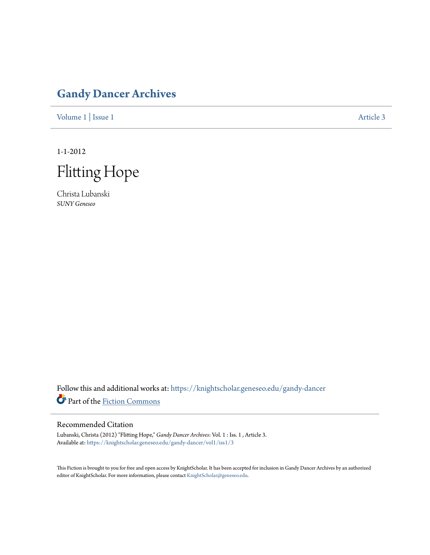# **[Gandy Dancer Archives](https://knightscholar.geneseo.edu/gandy-dancer?utm_source=knightscholar.geneseo.edu%2Fgandy-dancer%2Fvol1%2Fiss1%2F3&utm_medium=PDF&utm_campaign=PDFCoverPages)**

[Volume 1](https://knightscholar.geneseo.edu/gandy-dancer/vol1?utm_source=knightscholar.geneseo.edu%2Fgandy-dancer%2Fvol1%2Fiss1%2F3&utm_medium=PDF&utm_campaign=PDFCoverPages) | [Issue 1](https://knightscholar.geneseo.edu/gandy-dancer/vol1/iss1?utm_source=knightscholar.geneseo.edu%2Fgandy-dancer%2Fvol1%2Fiss1%2F3&utm_medium=PDF&utm_campaign=PDFCoverPages) [Article 3](https://knightscholar.geneseo.edu/gandy-dancer/vol1/iss1/3?utm_source=knightscholar.geneseo.edu%2Fgandy-dancer%2Fvol1%2Fiss1%2F3&utm_medium=PDF&utm_campaign=PDFCoverPages)

1-1-2012

Flitting Hope

Christa Lubanski *SUNY Geneseo*

Follow this and additional works at: [https://knightscholar.geneseo.edu/gandy-dancer](https://knightscholar.geneseo.edu/gandy-dancer?utm_source=knightscholar.geneseo.edu%2Fgandy-dancer%2Fvol1%2Fiss1%2F3&utm_medium=PDF&utm_campaign=PDFCoverPages) Part of the [Fiction Commons](http://network.bepress.com/hgg/discipline/1151?utm_source=knightscholar.geneseo.edu%2Fgandy-dancer%2Fvol1%2Fiss1%2F3&utm_medium=PDF&utm_campaign=PDFCoverPages)

## Recommended Citation

Lubanski, Christa (2012) "Flitting Hope," *Gandy Dancer Archives*: Vol. 1 : Iss. 1 , Article 3. Available at: [https://knightscholar.geneseo.edu/gandy-dancer/vol1/iss1/3](https://knightscholar.geneseo.edu/gandy-dancer/vol1/iss1/3?utm_source=knightscholar.geneseo.edu%2Fgandy-dancer%2Fvol1%2Fiss1%2F3&utm_medium=PDF&utm_campaign=PDFCoverPages)

This Fiction is brought to you for free and open access by KnightScholar. It has been accepted for inclusion in Gandy Dancer Archives by an authorized editor of KnightScholar. For more information, please contact [KnightScholar@geneseo.edu.](mailto:KnightScholar@geneseo.edu)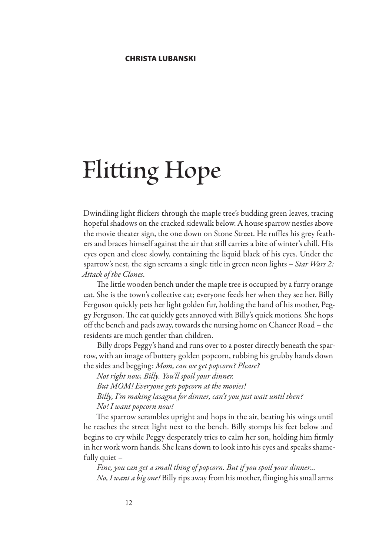# **Flitting Hope**

Dwindling light flickers through the maple tree's budding green leaves, tracing hopeful shadows on the cracked sidewalk below. A house sparrow nestles above the movie theater sign, the one down on Stone Street. He ruffles his grey feathers and braces himself against the air that still carries a bite of winter's chill. His eyes open and close slowly, containing the liquid black of his eyes. Under the sparrow's nest, the sign screams a single title in green neon lights – *Star Wars 2: Attack of the Clones*.

The little wooden bench under the maple tree is occupied by a furry orange cat. She is the town's collective cat; everyone feeds her when they see her. Billy Ferguson quickly pets her light golden fur, holding the hand of his mother, Peggy Ferguson. The cat quickly gets annoyed with Billy's quick motions. She hops off the bench and pads away, towards the nursing home on Chancer Road – the residents are much gentler than children.

Billy drops Peggy's hand and runs over to a poster directly beneath the sparrow, with an image of buttery golden popcorn, rubbing his grubby hands down the sides and begging: *Mom, can we get popcorn? Please?*

*Not right now, Billy. You'll spoil your dinner. But MOM! Everyone gets popcorn at the movies! Billy, I'm making lasagna for dinner, can't you just wait until then? No! I want popcorn now!*

The sparrow scrambles upright and hops in the air, beating his wings until he reaches the street light next to the bench. Billy stomps his feet below and begins to cry while Peggy desperately tries to calm her son, holding him firmly in her work worn hands. She leans down to look into his eyes and speaks shamefully quiet –

*Fine, you can get a small thing of popcorn. But if you spoil your dinner… No, I want a big one!* Billy rips away from his mother, flinging his small arms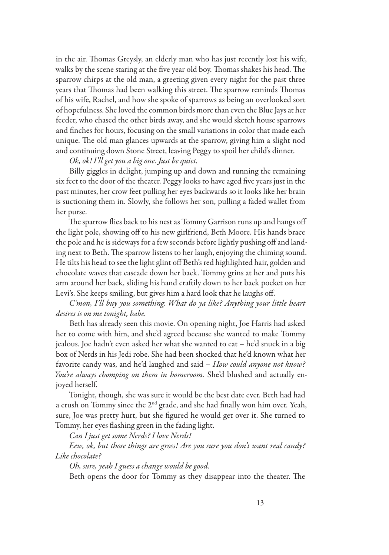in the air. Thomas Greysly, an elderly man who has just recently lost his wife, walks by the scene staring at the five year old boy. Thomas shakes his head. The sparrow chirps at the old man, a greeting given every night for the past three years that Thomas had been walking this street. The sparrow reminds Thomas of his wife, Rachel, and how she spoke of sparrows as being an overlooked sort of hopefulness. She loved the common birds more than even the Blue Jays at her feeder, who chased the other birds away, and she would sketch house sparrows and finches for hours, focusing on the small variations in color that made each unique. The old man glances upwards at the sparrow, giving him a slight nod and continuing down Stone Street, leaving Peggy to spoil her child's dinner.

#### *Ok, ok! I'll get you a big one. Just be quiet.*

Billy giggles in delight, jumping up and down and running the remaining six feet to the door of the theater. Peggy looks to have aged five years just in the past minutes, her crow feet pulling her eyes backwards so it looks like her brain is suctioning them in. Slowly, she follows her son, pulling a faded wallet from her purse.

The sparrow flies back to his nest as Tommy Garrison runs up and hangs off the light pole, showing off to his new girlfriend, Beth Moore. His hands brace the pole and he is sideways for a few seconds before lightly pushing off and landing next to Beth. The sparrow listens to her laugh, enjoying the chiming sound. He tilts his head to see the light glint off Beth's red highlighted hair, golden and chocolate waves that cascade down her back. Tommy grins at her and puts his arm around her back, sliding his hand craftily down to her back pocket on her Levi's. She keeps smiling, but gives him a hard look that he laughs off.

*C'mon, I'll buy you something. What do ya like? Anything your little heart desires is on me tonight, babe.* 

Beth has already seen this movie. On opening night, Joe Harris had asked her to come with him, and she'd agreed because she wanted to make Tommy jealous. Joe hadn't even asked her what she wanted to eat – he'd snuck in a big box of Nerds in his Jedi robe. She had been shocked that he'd known what her favorite candy was, and he'd laughed and said – *How could anyone not know? You're always chomping on them in homeroom.* She'd blushed and actually enjoyed herself.

Tonight, though, she was sure it would be the best date ever. Beth had had a crush on Tommy since the 2<sup>nd</sup> grade, and she had finally won him over. Yeah, sure, Joe was pretty hurt, but she figured he would get over it. She turned to Tommy, her eyes flashing green in the fading light.

*Can I just get some Nerds? I love Nerds!*

*Eew, ok, but those things are gross! Are you sure you don't want real candy? Like chocolate?*

*Oh, sure, yeah I guess a change would be good.*

Beth opens the door for Tommy as they disappear into the theater. The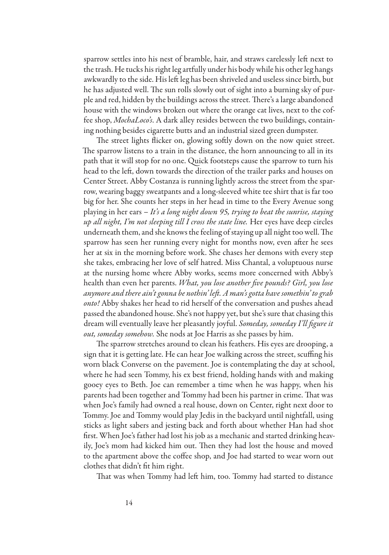sparrow settles into his nest of bramble, hair, and straws carelessly left next to the trash. He tucks his right leg artfully under his body while his other leg hangs awkwardly to the side. His left leg has been shriveled and useless since birth, but he has adjusted well. The sun rolls slowly out of sight into a burning sky of purple and red, hidden by the buildings across the street. There's a large abandoned house with the windows broken out where the orange cat lives, next to the coffee shop, *MochaLoco's*. A dark alley resides between the two buildings, containing nothing besides cigarette butts and an industrial sized green dumpster.

The street lights flicker on, glowing softly down on the now quiet street. The sparrow listens to a train in the distance, the horn announcing to all in its path that it will stop for no one. Quick footsteps cause the sparrow to turn his head to the left, down towards the direction of the trailer parks and houses on Center Street. Abby Costanza is running lightly across the street from the sparrow, wearing baggy sweatpants and a long-sleeved white tee shirt that is far too big for her. She counts her steps in her head in time to the Every Avenue song playing in her ears – *It's a long night down 95, trying to beat the sunrise, staying up all night, I'm not sleeping till I cross the state line.* Her eyes have deep circles underneath them, and she knows the feeling of staying up all night too well. The sparrow has seen her running every night for months now, even after he sees her at six in the morning before work. She chases her demons with every step she takes, embracing her love of self hatred. Miss Chantal, a voluptuous nurse at the nursing home where Abby works, seems more concerned with Abby's health than even her parents. *What, you lose another five pounds? Girl, you lose anymore and there ain't gonna be nothin' left. A man's gotta have somethin' to grab onto!* Abby shakes her head to rid herself of the conversation and pushes ahead passed the abandoned house. She's not happy yet, but she's sure that chasing this dream will eventually leave her pleasantly joyful. *Someday, someday I'll figure it out, someday somehow.* She nods at Joe Harris as she passes by him.

The sparrow stretches around to clean his feathers. His eyes are drooping, a sign that it is getting late. He can hear Joe walking across the street, scuffing his worn black Converse on the pavement. Joe is contemplating the day at school, where he had seen Tommy, his ex best friend, holding hands with and making gooey eyes to Beth. Joe can remember a time when he was happy, when his parents had been together and Tommy had been his partner in crime. That was when Joe's family had owned a real house, down on Center, right next door to Tommy. Joe and Tommy would play Jedis in the backyard until nightfall, using sticks as light sabers and jesting back and forth about whether Han had shot first. When Joe's father had lost his job as a mechanic and started drinking heavily, Joe's mom had kicked him out. Then they had lost the house and moved to the apartment above the coffee shop, and Joe had started to wear worn out clothes that didn't fit him right.

That was when Tommy had left him, too. Tommy had started to distance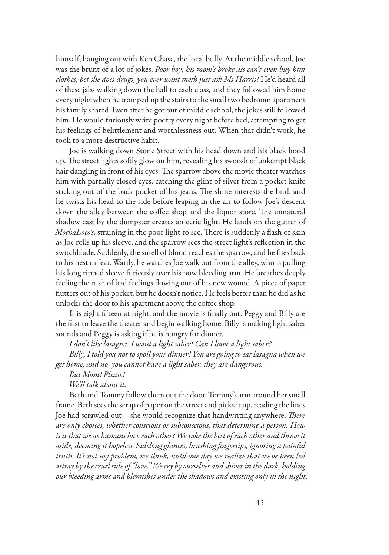himself, hanging out with Ken Chase, the local bully. At the middle school, Joe was the brunt of a lot of jokes. *Poor boy, his mom's broke ass can't even buy him clothes, bet she does drugs, you ever want meth just ask Ms Harris!* He'd heard all of these jabs walking down the hall to each class, and they followed him home every night when he tromped up the stairs to the small two bedroom apartment his family shared. Even after he got out of middle school, the jokes still followed him. He would furiously write poetry every night before bed, attempting to get his feelings of belittlement and worthlessness out. When that didn't work, he took to a more destructive habit.

Joe is walking down Stone Street with his head down and his black hood up. The street lights softly glow on him, revealing his swoosh of unkempt black hair dangling in front of his eyes. The sparrow above the movie theater watches him with partially closed eyes, catching the glint of silver from a pocket knife sticking out of the back pocket of his jeans. The shine interests the bird, and he twists his head to the side before leaping in the air to follow Joe's descent down the alley between the coffee shop and the liquor store. The unnatural shadow cast by the dumpster creates an eerie light. He lands on the gutter of *MochaLoco's*, straining in the poor light to see. There is suddenly a flash of skin as Joe rolls up his sleeve, and the sparrow sees the street light's reflection in the switchblade. Suddenly, the smell of blood reaches the sparrow, and he flies back to his nest in fear. Warily, he watches Joe walk out from the alley, who is pulling his long ripped sleeve furiously over his now bleeding arm. He breathes deeply, feeling the rush of bad feelings flowing out of his new wound. A piece of paper flutters out of his pocket, but he doesn't notice. He feels better than he did as he unlocks the door to his apartment above the coffee shop.

It is eight fifteen at night, and the movie is finally out. Peggy and Billy are the first to leave the theater and begin walking home. Billy is making light saber sounds and Peggy is asking if he is hungry for dinner.

*I don't like lasagna. I want a light saber! Can I have a light saber?*

*Billy, I told you not to spoil your dinner! You are going to eat lasagna when we get home, and no, you cannot have a light saber, they are dangerous.* 

*But Mom! Please!*

*We'll talk about it.*

Beth and Tommy follow them out the door, Tommy's arm around her small frame. Beth sees the scrap of paper on the street and picks it up, reading the lines Joe had scrawled out – she would recognize that handwriting anywhere. *There are only choices, whether conscious or subconscious, that determine a person. How is it that we as humans love each other? We take the best of each other and throw it aside, deeming it hopeless. Sidelong glances, brushing fingertips, ignoring a painful truth. It's not my problem, we think, until one day we realize that we've been led astray by the cruel side of "love." We cry by ourselves and shiver in the dark, holding our bleeding arms and blemishes under the shadows and existing only in the night,*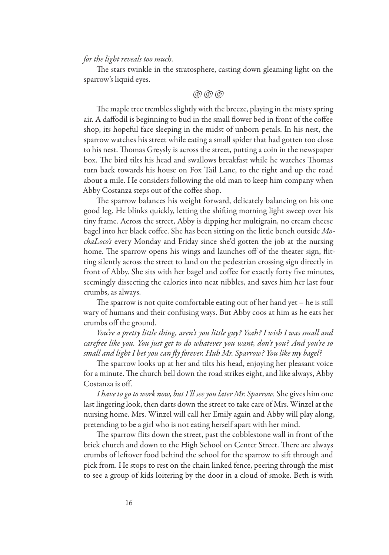#### *for the light reveals too much.*

The stars twinkle in the stratosphere, casting down gleaming light on the sparrow's liquid eyes.

#### (@) (@) (@)

The maple tree trembles slightly with the breeze, playing in the misty spring air. A daffodil is beginning to bud in the small flower bed in front of the coffee shop, its hopeful face sleeping in the midst of unborn petals. In his nest, the sparrow watches his street while eating a small spider that had gotten too close to his nest. Thomas Greysly is across the street, putting a coin in the newspaper box. The bird tilts his head and swallows breakfast while he watches Thomas turn back towards his house on Fox Tail Lane, to the right and up the road about a mile. He considers following the old man to keep him company when Abby Costanza steps out of the coffee shop.

The sparrow balances his weight forward, delicately balancing on his one good leg. He blinks quickly, letting the shifting morning light sweep over his tiny frame. Across the street, Abby is dipping her multigrain, no cream cheese bagel into her black coffee. She has been sitting on the little bench outside *MochaLoco's* every Monday and Friday since she'd gotten the job at the nursing home. The sparrow opens his wings and launches off of the theater sign, flitting silently across the street to land on the pedestrian crossing sign directly in front of Abby. She sits with her bagel and coffee for exactly forty five minutes, seemingly dissecting the calories into neat nibbles, and saves him her last four crumbs, as always.

The sparrow is not quite comfortable eating out of her hand yet – he is still wary of humans and their confusing ways. But Abby coos at him as he eats her crumbs off the ground.

*You're a pretty little thing, aren't you little guy? Yeah? I wish I was small and carefree like you. You just get to do whatever you want, don't you? And you're so small and light I bet you can fly forever. Huh Mr. Sparrow? You like my bagel?* 

The sparrow looks up at her and tilts his head, enjoying her pleasant voice for a minute. The church bell down the road strikes eight, and like always, Abby Costanza is off.

*I have to go to work now, but I'll see you later Mr. Sparrow.* She gives him one last lingering look, then darts down the street to take care of Mrs. Winzel at the nursing home. Mrs. Winzel will call her Emily again and Abby will play along, pretending to be a girl who is not eating herself apart with her mind.

The sparrow flits down the street, past the cobblestone wall in front of the brick church and down to the High School on Center Street. There are always crumbs of leftover food behind the school for the sparrow to sift through and pick from. He stops to rest on the chain linked fence, peering through the mist to see a group of kids loitering by the door in a cloud of smoke. Beth is with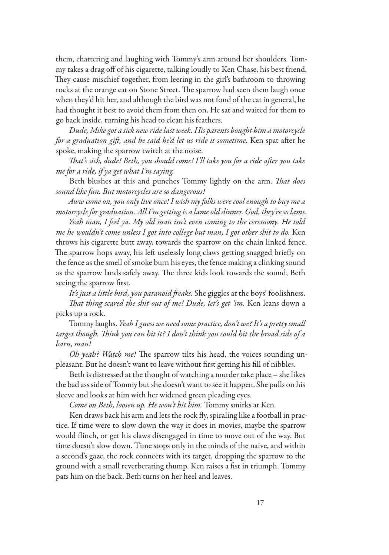them, chattering and laughing with Tommy's arm around her shoulders. Tommy takes a drag off of his cigarette, talking loudly to Ken Chase, his best friend. They cause mischief together, from leering in the girl's bathroom to throwing rocks at the orange cat on Stone Street. The sparrow had seen them laugh once when they'd hit her, and although the bird was not fond of the cat in general, he had thought it best to avoid them from then on. He sat and waited for them to go back inside, turning his head to clean his feathers.

*Dude, Mike got a sick new ride last week. His parents bought him a motorcycle for a graduation gift, and he said he'd let us ride it sometime.* Ken spat after he spoke, making the sparrow twitch at the noise.

*That's sick, dude! Beth, you should come! I'll take you for a ride after you take me for a ride, if ya get what I'm saying.*

Beth blushes at this and punches Tommy lightly on the arm. *That does sound like fun. But motorcycles are so dangerous!*

*Aww come on, you only live once! I wish my folks were cool enough to buy me a motorcycle for graduation. All I'm getting is a lame old dinner. God, they're so lame.* 

*Yeah man, I feel ya. My old man isn't even coming to the ceremony. He told me he wouldn't come unless I got into college but man, I got other shit to do.* Ken throws his cigarette butt away, towards the sparrow on the chain linked fence. The sparrow hops away, his left uselessly long claws getting snagged briefly on the fence as the smell of smoke burn his eyes, the fence making a clinking sound as the sparrow lands safely away. The three kids look towards the sound, Beth seeing the sparrow first.

*It's just a little bird, you paranoid freaks.* She giggles at the boys' foolishness. *That thing scared the shit out of me! Dude, let's get 'im. Ken leans down a* picks up a rock.

Tommy laughs. *Yeah I guess we need some practice, don't we? It's a pretty small target though. Think you can hit it? I don't think you could hit the broad side of a barn, man!* 

*Oh yeah? Watch me!* The sparrow tilts his head, the voices sounding unpleasant. But he doesn't want to leave without first getting his fill of nibbles.

Beth is distressed at the thought of watching a murder take place – she likes the bad ass side of Tommy but she doesn't want to see it happen. She pulls on his sleeve and looks at him with her widened green pleading eyes.

*Come on Beth, loosen up. He won't hit him.* Tommy smirks at Ken.

Ken draws back his arm and lets the rock fly, spiraling like a football in practice. If time were to slow down the way it does in movies, maybe the sparrow would flinch, or get his claws disengaged in time to move out of the way. But time doesn't slow down. Time stops only in the minds of the naive, and within a second's gaze, the rock connects with its target, dropping the sparrow to the ground with a small reverberating thump. Ken raises a fist in triumph. Tommy pats him on the back. Beth turns on her heel and leaves.